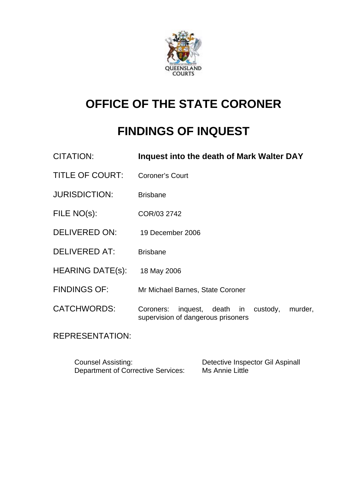

# **OFFICE OF THE STATE CORONER**

# **FINDINGS OF INQUEST**

| CITATION:               | Inquest into the death of Mark Walter DAY                                                   |
|-------------------------|---------------------------------------------------------------------------------------------|
| <b>TITLE OF COURT:</b>  | <b>Coroner's Court</b>                                                                      |
| <b>JURISDICTION:</b>    | <b>Brisbane</b>                                                                             |
| FILE NO(s):             | COR/03 2742                                                                                 |
| <b>DELIVERED ON:</b>    | 19 December 2006                                                                            |
| <b>DELIVERED AT:</b>    | <b>Brisbane</b>                                                                             |
| <b>HEARING DATE(s):</b> | 18 May 2006                                                                                 |
| <b>FINDINGS OF:</b>     | Mr Michael Barnes, State Coroner                                                            |
| <b>CATCHWORDS:</b>      | inquest, death in<br>Coroners:<br>custody,<br>murder,<br>supervision of dangerous prisoners |

REPRESENTATION:

| <b>Counsel Assisting:</b>                 | Detective Inspector Gil Aspinall |
|-------------------------------------------|----------------------------------|
| <b>Department of Corrective Services:</b> | Ms Annie Little                  |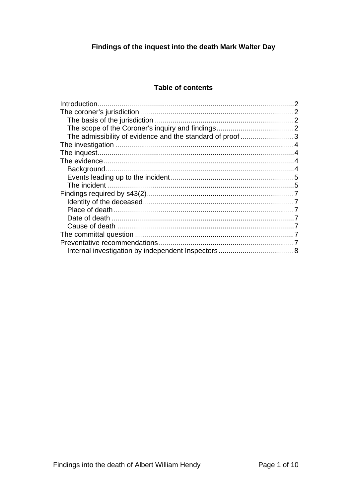# Findings of the inquest into the death Mark Walter Day

### **Table of contents**

| The admissibility of evidence and the standard of proof3 |  |
|----------------------------------------------------------|--|
|                                                          |  |
|                                                          |  |
|                                                          |  |
|                                                          |  |
|                                                          |  |
|                                                          |  |
|                                                          |  |
|                                                          |  |
|                                                          |  |
|                                                          |  |
|                                                          |  |
|                                                          |  |
|                                                          |  |
|                                                          |  |
|                                                          |  |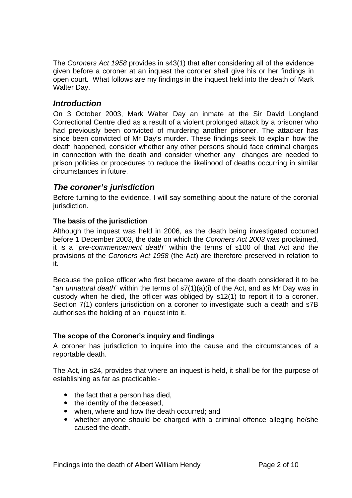The *Coroners Act 1958* provides in s43(1) that after considering all of the evidence given before a coroner at an inquest the coroner shall give his or her findings in open court. What follows are my findings in the inquest held into the death of Mark Walter Day.

## *Introduction*

On 3 October 2003, Mark Walter Day an inmate at the Sir David Longland Correctional Centre died as a result of a violent prolonged attack by a prisoner who had previously been convicted of murdering another prisoner. The attacker has since been convicted of Mr Day's murder. These findings seek to explain how the death happened, consider whether any other persons should face criminal charges in connection with the death and consider whether any changes are needed to prison policies or procedures to reduce the likelihood of deaths occurring in similar circumstances in future.

## *The coroner's jurisdiction*

Before turning to the evidence, I will say something about the nature of the coronial jurisdiction.

#### **The basis of the jurisdiction**

Although the inquest was held in 2006, as the death being investigated occurred before 1 December 2003, the date on which the *Coroners Act 2003* was proclaimed, it is a "*pre-commencement death*" within the terms of s100 of that Act and the provisions of the *Coroners Act 1958* (the Act) are therefore preserved in relation to it.

Because the police officer who first became aware of the death considered it to be "*an unnatural death*" within the terms of s7(1)(a)(i) of the Act, and as Mr Day was in custody when he died, the officer was obliged by s12(1) to report it to a coroner. Section 7(1) confers jurisdiction on a coroner to investigate such a death and s7B authorises the holding of an inquest into it.

#### **The scope of the Coroner's inquiry and findings**

A coroner has jurisdiction to inquire into the cause and the circumstances of a reportable death.

The Act, in s24, provides that where an inquest is held, it shall be for the purpose of establishing as far as practicable:-

- $\bullet$  the fact that a person has died,
- the identity of the deceased,
- when, where and how the death occurred; and
- whether anyone should be charged with a criminal offence alleging he/she caused the death.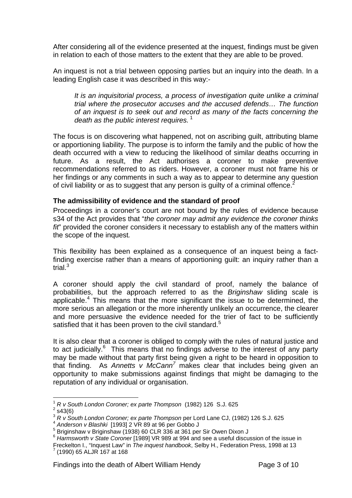After considering all of the evidence presented at the inquest, findings must be given in relation to each of those matters to the extent that they are able to be proved.

An inquest is not a trial between opposing parties but an inquiry into the death. In a leading English case it was described in this way:-

*It is an inquisitorial process, a process of investigation quite unlike a criminal trial where the prosecutor accuses and the accused defends… The function of an inquest is to seek out and record as many of the facts concerning the death as the public interest requires.*<sup>1</sup>

The focus is on discovering what happened, not on ascribing guilt, attributing blame or apportioning liability. The purpose is to inform the family and the public of how the death occurred with a view to reducing the likelihood of similar deaths occurring in future. As a result, the Act authorises a coroner to make preventive recommendations referred to as riders. However, a coroner must not frame his or her findings or any comments in such a way as to appear to determine any question of civil liability or as to suggest that any person is guilty of a criminal offence.<sup>2</sup>

#### **The admissibility of evidence and the standard of proof**

Proceedings in a coroner's court are not bound by the rules of evidence because s34 of the Act provides that "*the coroner may admit any evidence the coroner thinks fit*" provided the coroner considers it necessary to establish any of the matters within the scope of the inquest*.* 

This flexibility has been explained as a consequence of an inquest being a factfinding exercise rather than a means of apportioning guilt: an inquiry rather than a trial. $3$ 

A coroner should apply the civil standard of proof, namely the balance of probabilities, but the approach referred to as the *Briginshaw* sliding scale is applicable.<sup>4</sup> This means that the more significant the issue to be determined, the more serious an allegation or the more inherently unlikely an occurrence, the clearer and more persuasive the evidence needed for the trier of fact to be sufficiently satisfied that it has been proven to the civil standard.<sup>5</sup>

It is also clear that a coroner is obliged to comply with the rules of natural justice and to act judicially. $6$  This means that no findings adverse to the interest of any party may be made without that party first being given a right to be heard in opposition to that finding. As *Annetts v McCann<sup>7</sup>* makes clear that includes being given an opportunity to make submissions against findings that might be damaging to the reputation of any individual or organisation.

 $\overline{a}$ 

<sup>1</sup> *R v South London Coroner; ex parte Thompson* (1982) 126 S.J. 625 2

 $2$  s43(6)

<sup>&</sup>lt;sup>3</sup> *R v South London Coroner; ex parte Thompson* per Lord Lane CJ, (1982) 126 S.J. 625<br><sup>4</sup> Anderson v Blashki [1993] 2 VR 89 at 96 per Gobbo J

<sup>&</sup>lt;sup>5</sup> Briginshaw v Briginshaw (1938) 60 CLR 336 at 361 per Sir Owen Dixon J

<sup>6</sup> *Harmsworth v State Coroner* [1989] VR 989 at 994 and see a useful discussion of the issue in

Freckelton I., "Inquest Law" in *The inquest handbook*, Selby H., Federation Press, 1998 at 13 7  $(1990)$  65 ALJR 167 at 168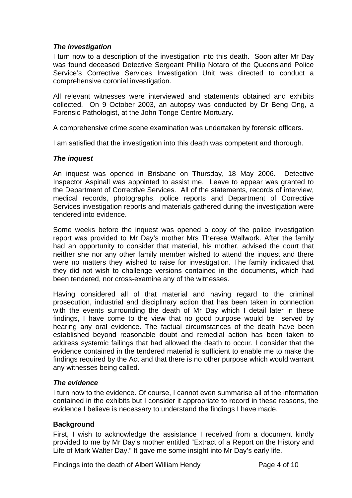#### *The investigation*

I turn now to a description of the investigation into this death. Soon after Mr Day was found deceased Detective Sergeant Phillip Notaro of the Queensland Police Service's Corrective Services Investigation Unit was directed to conduct a comprehensive coronial investigation.

All relevant witnesses were interviewed and statements obtained and exhibits collected. On 9 October 2003, an autopsy was conducted by Dr Beng Ong, a Forensic Pathologist, at the John Tonge Centre Mortuary.

A comprehensive crime scene examination was undertaken by forensic officers.

I am satisfied that the investigation into this death was competent and thorough.

#### *The inquest*

An inquest was opened in Brisbane on Thursday, 18 May 2006. Detective Inspector Aspinall was appointed to assist me. Leave to appear was granted to the Department of Corrective Services. All of the statements, records of interview, medical records, photographs, police reports and Department of Corrective Services investigation reports and materials gathered during the investigation were tendered into evidence.

Some weeks before the inquest was opened a copy of the police investigation report was provided to Mr Day's mother Mrs Theresa Wallwork. After the family had an opportunity to consider that material, his mother, advised the court that neither she nor any other family member wished to attend the inquest and there were no matters they wished to raise for investigation. The family indicated that they did not wish to challenge versions contained in the documents, which had been tendered, nor cross-examine any of the witnesses.

Having considered all of that material and having regard to the criminal prosecution, industrial and disciplinary action that has been taken in connection with the events surrounding the death of Mr Day which I detail later in these findings, I have come to the view that no good purpose would be served by hearing any oral evidence. The factual circumstances of the death have been established beyond reasonable doubt and remedial action has been taken to address systemic failings that had allowed the death to occur. I consider that the evidence contained in the tendered material is sufficient to enable me to make the findings required by the Act and that there is no other purpose which would warrant any witnesses being called.

#### *The evidence*

I turn now to the evidence. Of course, I cannot even summarise all of the information contained in the exhibits but I consider it appropriate to record in these reasons, the evidence I believe is necessary to understand the findings I have made.

#### **Background**

First, I wish to acknowledge the assistance I received from a document kindly provided to me by Mr Day's mother entitled "Extract of a Report on the History and Life of Mark Walter Day." It gave me some insight into Mr Day's early life.

Findings into the death of Albert William Hendy Page 4 of 10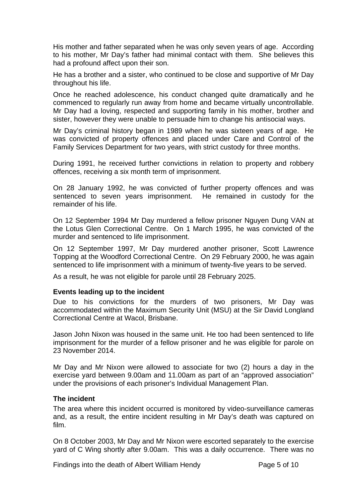His mother and father separated when he was only seven years of age. According to his mother, Mr Day's father had minimal contact with them. She believes this had a profound affect upon their son.

He has a brother and a sister, who continued to be close and supportive of Mr Day throughout his life.

Once he reached adolescence, his conduct changed quite dramatically and he commenced to regularly run away from home and became virtually uncontrollable. Mr Day had a loving, respected and supporting family in his mother, brother and sister, however they were unable to persuade him to change his antisocial ways.

Mr Day's criminal history began in 1989 when he was sixteen years of age. He was convicted of property offences and placed under Care and Control of the Family Services Department for two years, with strict custody for three months.

During 1991, he received further convictions in relation to property and robbery offences, receiving a six month term of imprisonment.

On 28 January 1992, he was convicted of further property offences and was sentenced to seven years imprisonment. He remained in custody for the remainder of his life.

On 12 September 1994 Mr Day murdered a fellow prisoner Nguyen Dung VAN at the Lotus Glen Correctional Centre. On 1 March 1995, he was convicted of the murder and sentenced to life imprisonment.

On 12 September 1997, Mr Day murdered another prisoner, Scott Lawrence Topping at the Woodford Correctional Centre. On 29 February 2000, he was again sentenced to life imprisonment with a minimum of twenty-five years to be served.

As a result, he was not eligible for parole until 28 February 2025.

#### **Events leading up to the incident**

Due to his convictions for the murders of two prisoners, Mr Day was accommodated within the Maximum Security Unit (MSU) at the Sir David Longland Correctional Centre at Wacol, Brisbane.

Jason John Nixon was housed in the same unit. He too had been sentenced to life imprisonment for the murder of a fellow prisoner and he was eligible for parole on 23 November 2014.

Mr Day and Mr Nixon were allowed to associate for two (2) hours a day in the exercise yard between 9.00am and 11.00am as part of an "approved association" under the provisions of each prisoner's Individual Management Plan.

#### **The incident**

The area where this incident occurred is monitored by video-surveillance cameras and, as a result, the entire incident resulting in Mr Day's death was captured on film.

On 8 October 2003, Mr Day and Mr Nixon were escorted separately to the exercise yard of C Wing shortly after 9.00am. This was a daily occurrence. There was no

Findings into the death of Albert William Hendy Page 5 of 10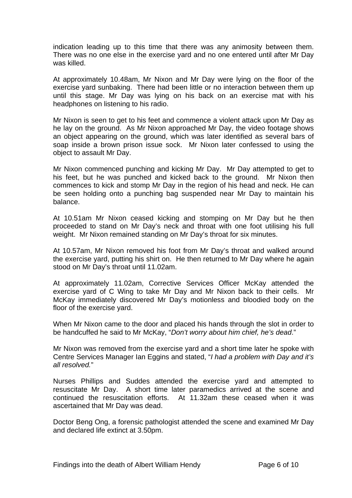indication leading up to this time that there was any animosity between them. There was no one else in the exercise yard and no one entered until after Mr Day was killed.

At approximately 10.48am, Mr Nixon and Mr Day were lying on the floor of the exercise yard sunbaking. There had been little or no interaction between them up until this stage. Mr Day was lying on his back on an exercise mat with his headphones on listening to his radio.

Mr Nixon is seen to get to his feet and commence a violent attack upon Mr Day as he lay on the ground. As Mr Nixon approached Mr Day, the video footage shows an object appearing on the ground, which was later identified as several bars of soap inside a brown prison issue sock. Mr Nixon later confessed to using the object to assault Mr Day.

Mr Nixon commenced punching and kicking Mr Day. Mr Day attempted to get to his feet, but he was punched and kicked back to the ground. Mr Nixon then commences to kick and stomp Mr Day in the region of his head and neck. He can be seen holding onto a punching bag suspended near Mr Day to maintain his balance.

At 10.51am Mr Nixon ceased kicking and stomping on Mr Day but he then proceeded to stand on Mr Day's neck and throat with one foot utilising his full weight. Mr Nixon remained standing on Mr Day's throat for six minutes.

At 10.57am, Mr Nixon removed his foot from Mr Day's throat and walked around the exercise yard, putting his shirt on. He then returned to Mr Day where he again stood on Mr Day's throat until 11.02am.

At approximately 11.02am, Corrective Services Officer McKay attended the exercise yard of C Wing to take Mr Day and Mr Nixon back to their cells. Mr McKay immediately discovered Mr Day's motionless and bloodied body on the floor of the exercise yard.

When Mr Nixon came to the door and placed his hands through the slot in order to be handcuffed he said to Mr McKay, "*Don't worry about him chief, he's dead*."

Mr Nixon was removed from the exercise yard and a short time later he spoke with Centre Services Manager Ian Eggins and stated, "*I had a problem with Day and it's all resolved.*"

Nurses Phillips and Suddes attended the exercise yard and attempted to resuscitate Mr Day. A short time later paramedics arrived at the scene and continued the resuscitation efforts. At 11.32am these ceased when it was ascertained that Mr Day was dead.

Doctor Beng Ong, a forensic pathologist attended the scene and examined Mr Day and declared life extinct at 3.50pm.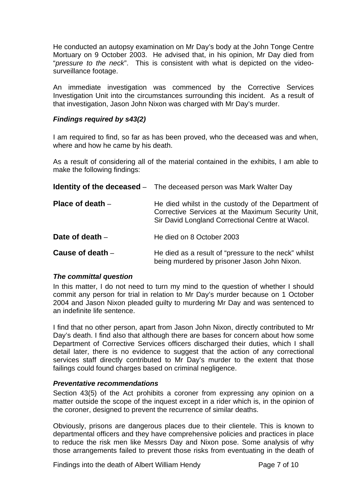He conducted an autopsy examination on Mr Day's body at the John Tonge Centre Mortuary on 9 October 2003. He advised that, in his opinion, Mr Day died from "*pressure to the neck*". This is consistent with what is depicted on the videosurveillance footage.

An immediate investigation was commenced by the Corrective Services Investigation Unit into the circumstances surrounding this incident. As a result of that investigation, Jason John Nixon was charged with Mr Day's murder.

#### *Findings required by s43(2)*

I am required to find, so far as has been proved, who the deceased was and when, where and how he came by his death.

As a result of considering all of the material contained in the exhibits, I am able to make the following findings:

|                    | <b>Identity of the deceased</b> – The deceased person was Mark Walter Day                                                                                   |
|--------------------|-------------------------------------------------------------------------------------------------------------------------------------------------------------|
| Place of death $-$ | He died whilst in the custody of the Department of<br>Corrective Services at the Maximum Security Unit,<br>Sir David Longland Correctional Centre at Wacol. |
| Date of death -    | He died on 8 October 2003                                                                                                                                   |
| Cause of death $-$ | He died as a result of "pressure to the neck" whilst<br>being murdered by prisoner Jason John Nixon.                                                        |

#### *The committal question*

In this matter, I do not need to turn my mind to the question of whether I should commit any person for trial in relation to Mr Day's murder because on 1 October 2004 and Jason Nixon pleaded guilty to murdering Mr Day and was sentenced to an indefinite life sentence.

I find that no other person, apart from Jason John Nixon, directly contributed to Mr Day's death. I find also that although there are bases for concern about how some Department of Corrective Services officers discharged their duties, which I shall detail later, there is no evidence to suggest that the action of any correctional services staff directly contributed to Mr Day's murder to the extent that those failings could found charges based on criminal negligence.

#### *Preventative recommendations*

Section 43(5) of the Act prohibits a coroner from expressing any opinion on a matter outside the scope of the inquest except in a rider which is, in the opinion of the coroner, designed to prevent the recurrence of similar deaths.

Obviously, prisons are dangerous places due to their clientele. This is known to departmental officers and they have comprehensive policies and practices in place to reduce the risk men like Messrs Day and Nixon pose. Some analysis of why those arrangements failed to prevent those risks from eventuating in the death of

Findings into the death of Albert William Hendy Page 7 of 10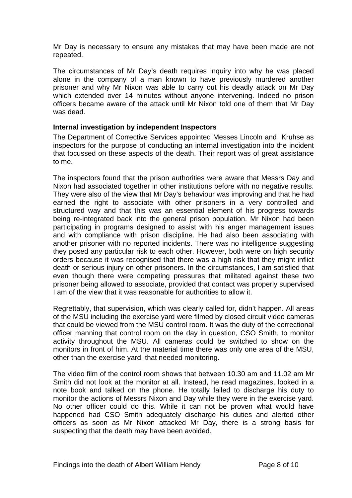Mr Day is necessary to ensure any mistakes that may have been made are not repeated.

The circumstances of Mr Day's death requires inquiry into why he was placed alone in the company of a man known to have previously murdered another prisoner and why Mr Nixon was able to carry out his deadly attack on Mr Day which extended over 14 minutes without anyone intervening. Indeed no prison officers became aware of the attack until Mr Nixon told one of them that Mr Day was dead.

#### **Internal investigation by independent Inspectors**

The Department of Corrective Services appointed Messes Lincoln and Kruhse as inspectors for the purpose of conducting an internal investigation into the incident that focussed on these aspects of the death. Their report was of great assistance to me.

The inspectors found that the prison authorities were aware that Messrs Day and Nixon had associated together in other institutions before with no negative results. They were also of the view that Mr Day's behaviour was improving and that he had earned the right to associate with other prisoners in a very controlled and structured way and that this was an essential element of his progress towards being re-integrated back into the general prison population. Mr Nixon had been participating in programs designed to assist with his anger management issues and with compliance with prison discipline. He had also been associating with another prisoner with no reported incidents. There was no intelligence suggesting they posed any particular risk to each other. However, both were on high security orders because it was recognised that there was a high risk that they might inflict death or serious injury on other prisoners. In the circumstances, I am satisfied that even though there were competing pressures that militated against these two prisoner being allowed to associate, provided that contact was properly supervised I am of the view that it was reasonable for authorities to allow it.

Regrettably, that supervision, which was clearly called for, didn't happen. All areas of the MSU including the exercise yard were filmed by closed circuit video cameras that could be viewed from the MSU control room. It was the duty of the correctional officer manning that control room on the day in question, CSO Smith, to monitor activity throughout the MSU. All cameras could be switched to show on the monitors in front of him. At the material time there was only one area of the MSU, other than the exercise yard, that needed monitoring.

The video film of the control room shows that between 10.30 am and 11.02 am Mr Smith did not look at the monitor at all. Instead, he read magazines, looked in a note book and talked on the phone. He totally failed to discharge his duty to monitor the actions of Messrs Nixon and Day while they were in the exercise yard. No other officer could do this. While it can not be proven what would have happened had CSO Smith adequately discharge his duties and alerted other officers as soon as Mr Nixon attacked Mr Day, there is a strong basis for suspecting that the death may have been avoided.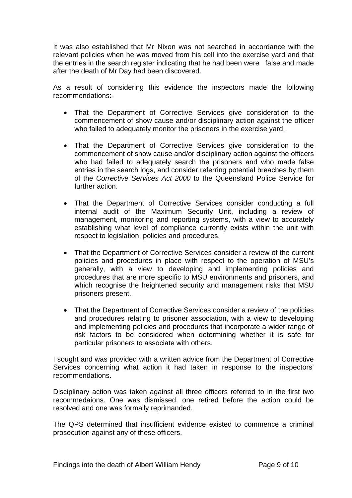It was also established that Mr Nixon was not searched in accordance with the relevant policies when he was moved from his cell into the exercise yard and that the entries in the search register indicating that he had been were false and made after the death of Mr Day had been discovered.

As a result of considering this evidence the inspectors made the following recommendations:-

- That the Department of Corrective Services give consideration to the commencement of show cause and/or disciplinary action against the officer who failed to adequately monitor the prisoners in the exercise yard.
- That the Department of Corrective Services give consideration to the commencement of show cause and/or disciplinary action against the officers who had failed to adequately search the prisoners and who made false entries in the search logs, and consider referring potential breaches by them of the *Corrective Services Act 2000* to the Queensland Police Service for further action.
- That the Department of Corrective Services consider conducting a full internal audit of the Maximum Security Unit, including a review of management, monitoring and reporting systems, with a view to accurately establishing what level of compliance currently exists within the unit with respect to legislation, policies and procedures.
- That the Department of Corrective Services consider a review of the current policies and procedures in place with respect to the operation of MSU's generally, with a view to developing and implementing policies and procedures that are more specific to MSU environments and prisoners, and which recognise the heightened security and management risks that MSU prisoners present.
- That the Department of Corrective Services consider a review of the policies and procedures relating to prisoner association, with a view to developing and implementing policies and procedures that incorporate a wider range of risk factors to be considered when determining whether it is safe for particular prisoners to associate with others.

I sought and was provided with a written advice from the Department of Corrective Services concerning what action it had taken in response to the inspectors' recommendations.

Disciplinary action was taken against all three officers referred to in the first two recommedaions. One was dismissed, one retired before the action could be resolved and one was formally reprimanded.

The QPS determined that insufficient evidence existed to commence a criminal prosecution against any of these officers.